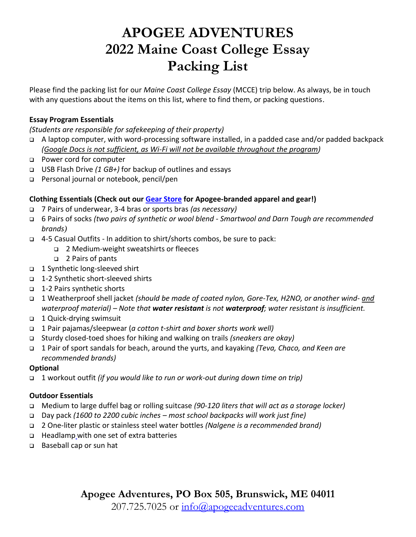# **APOGEE ADVENTURES 2022 Maine Coast College Essay Packing List**

Please find the packing list for our *Maine Coast College Essay* (MCCE) trip below. As always, be in touch with any questions about the items on this list, where to find them, or packing questions.

# **Essay Program Essentials**

*(Students are responsible for safekeeping of their property)*

- A laptop computer, with word-processing software installed, in a padded case and/or padded backpack *(Google Docs is not sufficient, as Wi-Fi will not be available throughout the program)*
- □ Power cord for computer
- USB Flash Drive *(1 GB+)* for backup of outlines and essays
- □ Personal journal or notebook, pencil/pen

### **Clothing Essentials (Check out our [Gear Store](https://www.apogeeadventures.com/buy-apogee-gear/) for Apogee-branded apparel and gear!)**

- 7 Pairs of underwear, 3-4 bras or sports bras *(as necessary)*
- 6 Pairs of socks *(two pairs of synthetic or wool blend - Smartwool and Darn Tough are recommended brands)*
- 4-5 Casual Outfits In addition to shirt/shorts combos, be sure to pack:
	- 2 Medium-weight sweatshirts or fleeces
	- 2 Pairs of pants
- 1 Synthetic long-sleeved shirt
- 1-2 Synthetic short-sleeved shirts
- 1-2 Pairs synthetic shorts
- 1 Weatherproof shell jacket *(should be made of coated nylon, Gore-Tex, H2NO, or another wind- and waterproof material) – Note that water resistant is not waterproof; water resistant is insufficient.*
- 1 Quick-drying swimsuit
- 1 Pair pajamas/sleepwear (*a cotton t-shirt and boxer shorts work well)*
- Sturdy closed-toed shoes for hiking and walking on trails *(sneakers are okay)*
- 1 Pair of sport sandals for beach, around the yurts, and kayaking *(Teva, Chaco, and Keen are recommended brands)*

### **Optional**

1 workout outfit *(if you would like to run or work-out during down time on trip)*

### **Outdoor Essentials**

- Medium to large duffel bag or rolling suitcase *(90-120 liters that will act as a storage locker)*
- Day pack *(1600 to 2200 cubic inches – most school backpacks will work just fine)*
- 2 One-liter plastic or stainless steel water bottles *(Nalgene is a recommended brand)*
- □ Headlamp with one set of extra batteries
- □ Baseball cap or sun hat

**Apogee Adventures, PO Box 505, Brunswick, ME 04011**

207.725.7025 or [info@apogeeadventures.com](mailto:info@apogeeadventures.com)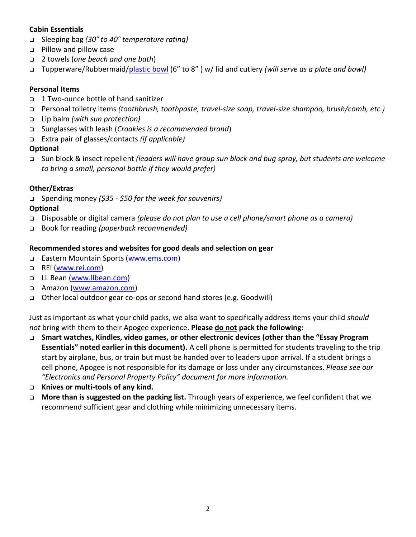# **Cabin Essentials**

- Sleeping bag *(30° to 40° temperature rating)*
- **Pillow and pillow case**
- 2 towels (*one beach and one bath*)
- Tupperware/Rubbermaid[/plastic bowl](https://www.rei.com/product/852373/sea-to-summit-delta-bowl-with-lid) (6" to 8" ) w/ lid and cutlery *(will serve as a plate and bowl)*

# **Personal Items**

- 1 Two-ounce bottle of hand sanitizer
- Personal toiletry items *(toothbrush, toothpaste, travel-size soap, travel-size shampoo, brush/comb, etc.)*
- Lip balm *(with sun protection)*
- Sunglasses with leash (*Croakies is a recommended brand*)
- Extra pair of glasses/contacts *(if applicable)*

# **Optional**

 Sun block & insect repellent *(leaders will have group sun block and bug spray, but students are welcome to bring a small, personal bottle if they would prefer)*

# **Other/Extras**

Spending money *(\$35 - \$50 for the week for souvenirs)*

# **Optional**

- Disposable or digital camera *(please do not plan to use a cell phone/smart phone as a camera)*
- Book for reading *(paperback recommended)*

# **Recommended stores and websites for good deals and selection on gear**

- □ Eastern Mountain Sports [\(www.ems.com\)](http://www.ems.com/)
- **Q** REI [\(www.rei.com\)](http://www.rei.com/)
- LL Bean [\(www.llbean.com\)](https://www.llbean.com/)
- □ Amazon [\(www.amazon.com\)](http://www.amazon.com/)
- Other local outdoor gear co-ops or second hand stores (e.g. Goodwill)

Just as important as what your child packs, we also want to specifically address items your child *should not* bring with them to their Apogee experience. **Please do not pack the following:**

- **Smart watches, Kindles, video games, or other electronic devices (other than the "Essay Program Essentials" noted earlier in this document).** A cell phone is permitted for students traveling to the trip start by airplane, bus, or train but must be handed over to leaders upon arrival. If a student brings a cell phone, Apogee is not responsible for its damage or loss under any circumstances. *Please see our "Electronics and Personal Property Policy" document for more information.*
- **Knives or multi-tools of any kind.**
- **More than is suggested on the packing list.** Through years of experience, we feel confident that we recommend sufficient gear and clothing while minimizing unnecessary items.